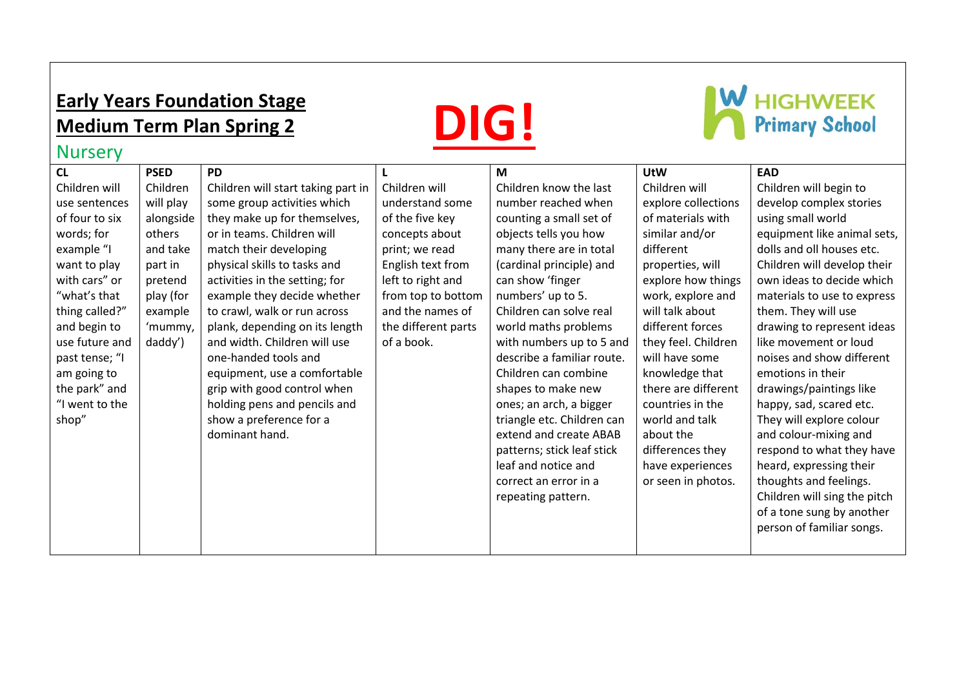## **Early Years Foundation Stage Medium Term Plan Spring 2**

# **DIG!**



### **Nursery**

| CL             | <b>PSED</b> | <b>PD</b>                          |                     | M                          | <b>UtW</b>          | <b>EAD</b>                   |
|----------------|-------------|------------------------------------|---------------------|----------------------------|---------------------|------------------------------|
| Children will  | Children    | Children will start taking part in | Children will       | Children know the last     | Children will       | Children will begin to       |
| use sentences  | will play   | some group activities which        | understand some     | number reached when        | explore collections | develop complex stories      |
| of four to six | alongside   | they make up for themselves,       | of the five key     | counting a small set of    | of materials with   | using small world            |
| words; for     | others      | or in teams. Children will         | concepts about      | objects tells you how      | similar and/or      | equipment like animal sets,  |
| example "I     | and take    | match their developing             | print; we read      | many there are in total    | different           | dolls and oll houses etc.    |
| want to play   | part in     | physical skills to tasks and       | English text from   | (cardinal principle) and   | properties, will    | Children will develop their  |
| with cars" or  | pretend     | activities in the setting; for     | left to right and   | can show 'finger           | explore how things  | own ideas to decide which    |
| "what's that   | play (for   | example they decide whether        | from top to bottom  | numbers' up to 5.          | work, explore and   | materials to use to express  |
| thing called?" | example     | to crawl, walk or run across       | and the names of    | Children can solve real    | will talk about     | them. They will use          |
| and begin to   | 'mummy,     | plank, depending on its length     | the different parts | world maths problems       | different forces    | drawing to represent ideas   |
| use future and | daddy')     | and width. Children will use       | of a book.          | with numbers up to 5 and   | they feel. Children | like movement or loud        |
| past tense; "I |             | one-handed tools and               |                     | describe a familiar route. | will have some      | noises and show different    |
| am going to    |             | equipment, use a comfortable       |                     | Children can combine       | knowledge that      | emotions in their            |
| the park" and  |             | grip with good control when        |                     | shapes to make new         | there are different | drawings/paintings like      |
| "I went to the |             | holding pens and pencils and       |                     | ones; an arch, a bigger    | countries in the    | happy, sad, scared etc.      |
| shop"          |             | show a preference for a            |                     | triangle etc. Children can | world and talk      | They will explore colour     |
|                |             | dominant hand.                     |                     | extend and create ABAB     | about the           | and colour-mixing and        |
|                |             |                                    |                     | patterns; stick leaf stick | differences they    | respond to what they have    |
|                |             |                                    |                     | leaf and notice and        | have experiences    | heard, expressing their      |
|                |             |                                    |                     | correct an error in a      | or seen in photos.  | thoughts and feelings.       |
|                |             |                                    |                     | repeating pattern.         |                     | Children will sing the pitch |
|                |             |                                    |                     |                            |                     | of a tone sung by another    |
|                |             |                                    |                     |                            |                     | person of familiar songs.    |
|                |             |                                    |                     |                            |                     |                              |